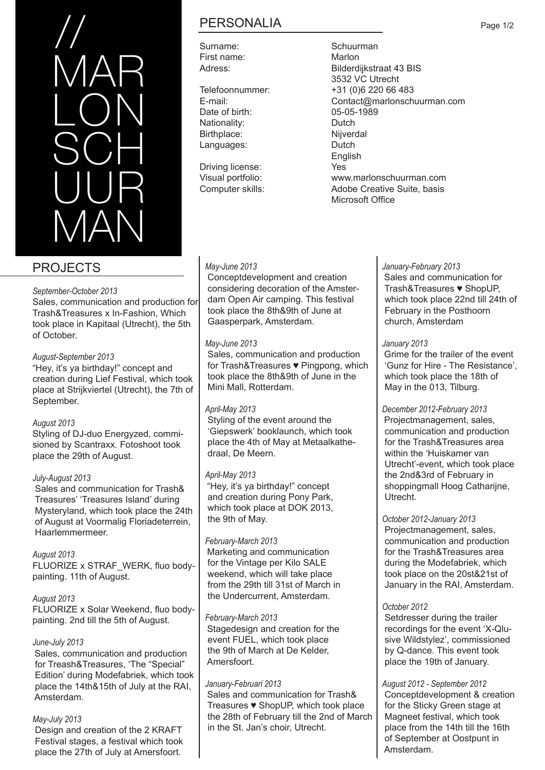

# PROJECTS

#### *September-October 2013*

Sales, communication and production for Trash&Treasures x In-Fashion, Which took place in Kapitaal (Utrecht), the 5th of October.

#### *August-September 2013*

"Hey, it's ya birthday!" concept and creation during Lief Festival, which took place at Strijkviertel (Utrecht), the 7th of September.

#### *August 2013*

Styling of DJ-duo Energyzed, commisioned by Scantraxx. Fotoshoot took place the 29th of August.

#### *July-August 2013*

 Sales and communication for Trash& Treasures' 'Treasures Island' during Mysteryland, which took place the 24th of August at Voormalig Floriadeterrein, Haarlemmermeer.

#### *August 2013*

FLUORIZE x STRAF\_WERK, fluo bodypainting. 11th of August.

*August 2013* FLUORIZE x Solar Weekend, fluo bodypainting. 2nd till the 5th of August.

#### *June-July 2013*

Sales, communication and production for Treash&Treasures, 'The "Special" Edition' during Modefabriek, which took place the 14th&15th of July at the RAI, Amsterdam.

#### *May-July 2013*

 Design and creation of the 2 KRAFT Festival stages, a festival which took place the 27th of July at Amersfoort.

# PERSONALIA

Surname: Schuurman First name:<br>Adress: Marlon Rilderd

Date of birth: 05-05-1989 Nationality: Dutch Birthplace: Nijverdal<br>
Languages: Dutch Languages:

Driving license: Yes

#### *May-June 2013*

 Conceptdevelopment and creation considering decoration of the Amster dam Open Air camping. This festival took place the 8th&9th of June at Gaasperpark, Amsterdam.

#### *May-June 2013*

 Sales, communication and production for Trash&Treasures ♥ Pingpong, which took place the 8th&9th of June in the Mini Mall, Rotterdam.

#### *April-May 2013*

 Styling of the event around the 'Giepswerk' booklaunch, which took place the 4th of May at Metaalkathe draal, De Meern.

#### *April-May 2013*

"Hey, it's ya birthday!" concept and creation during Pony Park, which took place at DOK 2013, the 9th of May.

#### *February-March 2013*

Marketing and communication for the Vintage per Kilo SALE weekend, which will take place from the 29th till 31st of March in the Undercurrent, Amsterdam.

#### *February-March 2013*

Stagedesign and creation for the event FUEL, which took place the 9th of March at De Kelder, Amersfoort.

#### *January-Februari 2013*

Sales and communication for Trash& Treasures ♥ ShopUP, which took place the 28th of February till the 2nd of March in the St. Jan's choir, Utrecht.

# Bilderdijkstraat 43 BIS 3532 VC Utrecht Telefoonnummer: +31 (0)6 220 66 483 E-mail: Contact@marlonschuurman.com

 English Visual portfolio: www.marlonschuurman.com Computer skills: Adobe Creative Suite, basis Microsoft Office

#### *January-February 2013*

Sales and communication for Trash&Treasures ♥ ShopUP, which took place 22nd till 24th of February in the Posthoorn church, Amsterdam

#### *January 2013*

Grime for the trailer of the event 'Gunz for Hire - The Resistance', which took place the 18th of May in the 013, Tilburg.

#### *December 2012-February 2013*

Projectmanagement, sales, communication and production for the Trash&Treasures area within the 'Huiskamer van Utrecht'-event, which took place the 2nd&3rd of February in shoppingmall Hoog Catharijne, Utrecht.

#### *October 2012-January 2013*

 Projectmanagement, sales, communication and production for the Trash&Treasures area during the Modefabriek, which took place on the 20st&21st of January in the RAI, Amsterdam.

#### *October 2012*

 Setdresser during the trailer recordings for the event 'X-Qlu sive Wildstylez', commissioned by Q-dance. This event took place the 19th of January.

#### *August 2012 - September 2012*

 Conceptdevelopment & creation for the Sticky Green stage at Magneet festival, which took place from the 14th till the 16th of September at Oostpunt in Amsterdam.